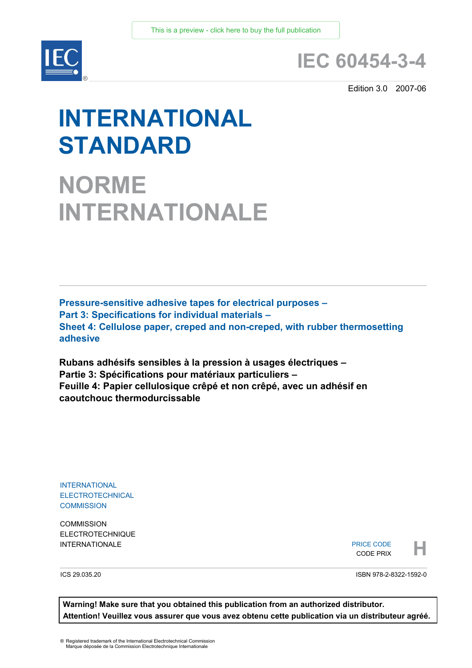

# **IEC 60454-3-4**

Edition 3.0 2007-06

# **INTERNATIONAL STANDARD**

**NORME INTERNATIONALE**

**Pressure-sensitive adhesive tapes for electrical purposes – Part 3: Specifications for individual materials – Sheet 4: Cellulose paper, creped and non-creped, with rubber thermosetting adhesive**

**Rubans adhésifs sensibles à la pression à usages électriques – Partie 3: Spécifications pour matériaux particuliers – Feuille 4: Papier cellulosique crêpé et non crêpé, avec un adhésif en caoutchouc thermodurcissable**

INTERNATIONAL **ELECTROTECHNICAL COMMISSION** 

**COMMISSION** ELECTROTECHNIQUE

INTERNATIONALE PRICE CODE PRIX **Here** is a structure of the contract of the contract of the contract of the contract of the contract of the contract of the contract of the contract of the contract of the contract of the co PRICE CODE CODE PRIX



ICS 29.035.20

ISBN 978-2-8322-1592-0

**Warning! Make sure that you obtained this publication from an authorized distributor. Attention! Veuillez vous assurer que vous avez obtenu cette publication via un distributeur agréé.**

® Registered trademark of the International Electrotechnical Commission Marque déposée de la Commission Electrotechnique Internationale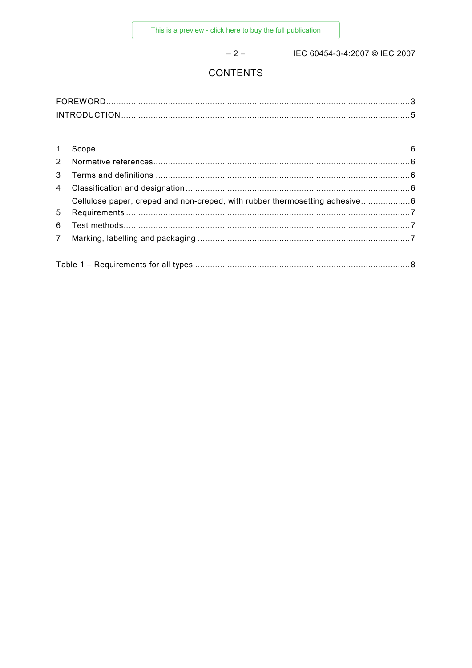IEC 60454-3-4:2007 © IEC 2007

# **CONTENTS**

 $-2-$ 

| $\mathbf{3}$ |                                                                             |  |  |
|--------------|-----------------------------------------------------------------------------|--|--|
|              |                                                                             |  |  |
|              | Cellulose paper, creped and non-creped, with rubber thermosetting adhesive6 |  |  |
|              |                                                                             |  |  |
| 6            |                                                                             |  |  |
|              |                                                                             |  |  |
|              |                                                                             |  |  |
|              |                                                                             |  |  |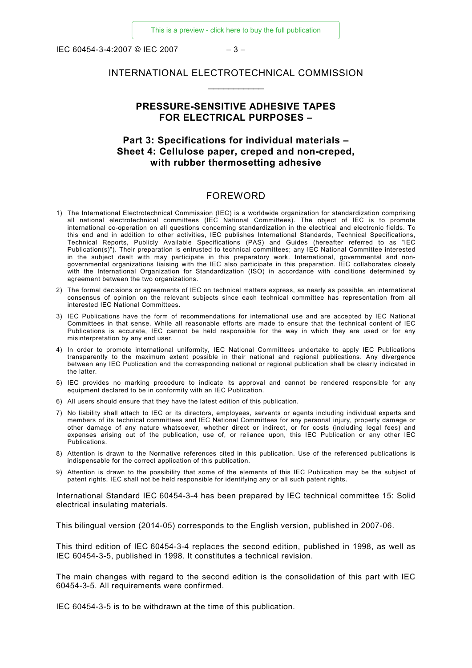IEC 60454-3-4:2007 © IEC 2007 – 3 –

# INTERNATIONAL ELECTROTECHNICAL COMMISSION  $\overline{\phantom{a}}$

#### **PRESSURE-SENSITIVE ADHESIVE TAPES FOR ELECTRICAL PURPOSES –**

# **Part 3: Specifications for individual materials – Sheet 4: Cellulose paper, creped and non-creped, with rubber thermosetting adhesive**

#### FOREWORD

- 1) The International Electrotechnical Commission (IEC) is a worldwide organization for standardization comprising all national electrotechnical committees (IEC National Committees). The object of IEC is to promote international co-operation on all questions concerning standardization in the electrical and electronic fields. To this end and in addition to other activities, IEC publishes International Standards, Technical Specifications, Technical Reports, Publicly Available Specifications (PAS) and Guides (hereafter referred to as "IEC Publication(s)"). Their preparation is entrusted to technical committees; any IEC National Committee interested in the subject dealt with may participate in this preparatory work. International, governmental and nongovernmental organizations liaising with the IEC also participate in this preparation. IEC collaborates closely with the International Organization for Standardization (ISO) in accordance with conditions determined by agreement between the two organizations.
- 2) The formal decisions or agreements of IEC on technical matters express, as nearly as possible, an international consensus of opinion on the relevant subjects since each technical committee has representation from all interested IEC National Committees.
- 3) IEC Publications have the form of recommendations for international use and are accepted by IEC National Committees in that sense. While all reasonable efforts are made to ensure that the technical content of IEC Publications is accurate, IEC cannot be held responsible for the way in which they are used or for any misinterpretation by any end user.
- 4) In order to promote international uniformity, IEC National Committees undertake to apply IEC Publications transparently to the maximum extent possible in their national and regional publications. Any divergence between any IEC Publication and the corresponding national or regional publication shall be clearly indicated in the latter.
- 5) IEC provides no marking procedure to indicate its approval and cannot be rendered responsible for any equipment declared to be in conformity with an IEC Publication.
- 6) All users should ensure that they have the latest edition of this publication.
- 7) No liability shall attach to IEC or its directors, employees, servants or agents including individual experts and members of its technical committees and IEC National Committees for any personal injury, property damage or other damage of any nature whatsoever, whether direct or indirect, or for costs (including legal fees) and expenses arising out of the publication, use of, or reliance upon, this IEC Publication or any other IEC Publications.
- 8) Attention is drawn to the Normative references cited in this publication. Use of the referenced publications is indispensable for the correct application of this publication.
- 9) Attention is drawn to the possibility that some of the elements of this IEC Publication may be the subject of patent rights. IEC shall not be held responsible for identifying any or all such patent rights.

International Standard IEC 60454-3-4 has been prepared by IEC technical committee 15: Solid electrical insulating materials.

This bilingual version (2014-05) corresponds to the English version, published in 2007-06.

This third edition of IEC 60454-3-4 replaces the second edition, published in 1998, as well as IEC 60454-3-5, published in 1998. It constitutes a technical revision.

The main changes with regard to the second edition is the consolidation of this part with IEC 60454-3-5. All requirements were confirmed.

IEC 60454-3-5 is to be withdrawn at the time of this publication.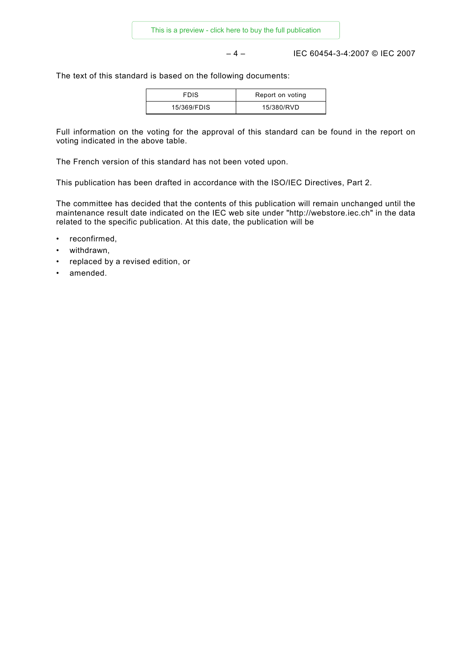– 4 – IEC 60454-3-4:2007 © IEC 2007

The text of this standard is based on the following documents:

| <b>FDIS</b> | Report on voting |
|-------------|------------------|
| 15/369/FDIS | 15/380/RVD       |

Full information on the voting for the approval of this standard can be found in the report on voting indicated in the above table.

The French version of this standard has not been voted upon.

This publication has been drafted in accordance with the ISO/IEC Directives, Part 2.

The committee has decided that the contents of this publication will remain unchanged until the maintenance result date indicated on the IEC web site under "http://webstore.iec.ch" in the data related to the specific publication. At this date, the publication will be

- reconfirmed,
- withdrawn,
- replaced by a revised edition, or
- amended.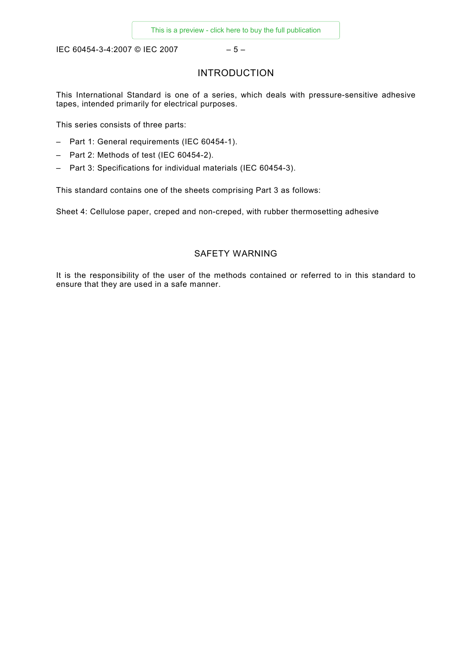IEC 60454-3-4:2007 © IEC 2007 – 5 –

# INTRODUCTION

This International Standard is one of a series, which deals with pressure-sensitive adhesive tapes, intended primarily for electrical purposes.

This series consists of three parts:

- Part 1: General requirements (IEC 60454-1).
- Part 2: Methods of test (IEC 60454-2).
- Part 3: Specifications for individual materials (IEC 60454-3).

This standard contains one of the sheets comprising Part 3 as follows:

Sheet 4: Cellulose paper, creped and non-creped, with rubber thermosetting adhesive

#### SAFETY WARNING

It is the responsibility of the user of the methods contained or referred to in this standard to ensure that they are used in a safe manner.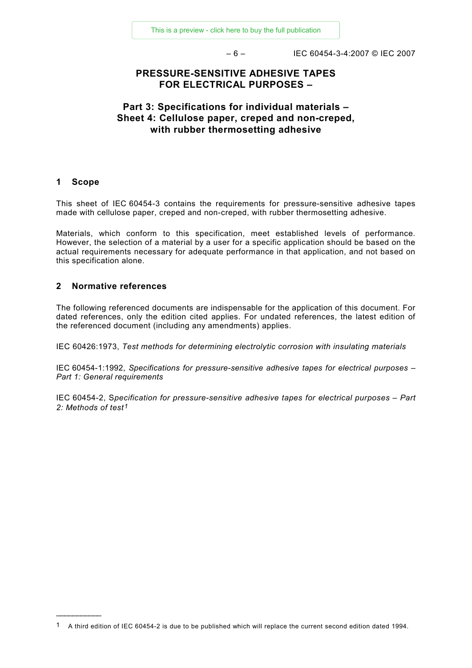– 6 – IEC 60454-3-4:2007 © IEC 2007

### **PRESSURE-SENSITIVE ADHESIVE TAPES FOR ELECTRICAL PURPOSES –**

# **Part 3: Specifications for individual materials – Sheet 4: Cellulose paper, creped and non-creped, with rubber thermosetting adhesive**

#### **1 Scope**

 $\overline{\phantom{a}}$ 

This sheet of IEC 60454-3 contains the requirements for pressure-sensitive adhesive tapes made with cellulose paper, creped and non-creped, with rubber thermosetting adhesive.

Materials, which conform to this specification, meet established levels of performance. However, the selection of a material by a user for a specific application should be based on the actual requirements necessary for adequate performance in that application, and not based on this specification alone.

#### **2 Normative references**

The following referenced documents are indispensable for the application of this document. For dated references, only the edition cited applies. For undated references, the latest edition of the referenced document (including any amendments) applies.

IEC 60426:1973, *Test methods for determining electrolytic corrosion with insulating materials*

IEC 60454-1:1992, *Specifications for pressure-sensitive adhesive tapes for electrical purposes – Part 1: General requirements*

IEC 60454-2, S*pecification for pressure-sensitive adhesive tapes for electrical purposes – Part 2: Methods of test[1](#page-5-0)*

<span id="page-5-0"></span><sup>1</sup> A third edition of IEC 60454-2 is due to be published which will replace the current second edition dated 1994.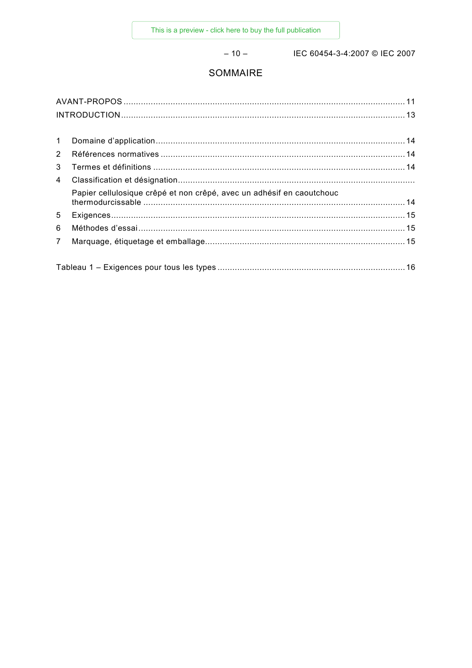IEC 60454-3-4:2007 © IEC 2007  $-10-$ 

# SOMMAIRE

| $\mathbf{1}$   |                                                                       |  |
|----------------|-----------------------------------------------------------------------|--|
| $\overline{2}$ |                                                                       |  |
| 3              |                                                                       |  |
| $\overline{4}$ |                                                                       |  |
|                | Papier cellulosique crêpé et non crêpé, avec un adhésif en caoutchouc |  |
| 5              |                                                                       |  |
| 6              |                                                                       |  |
| $\overline{7}$ |                                                                       |  |
|                |                                                                       |  |
|                |                                                                       |  |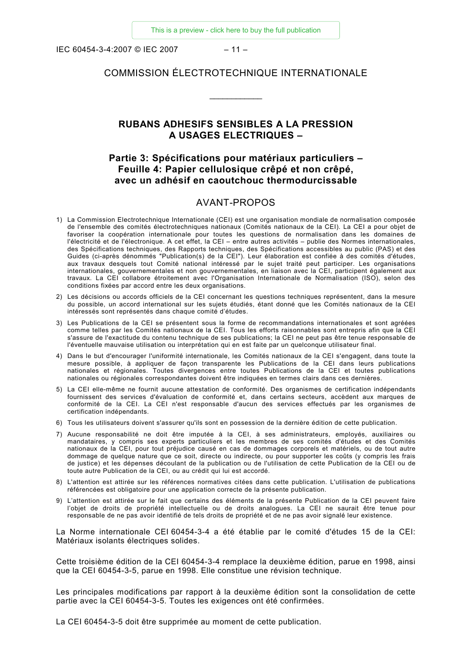IEC 60454-3-4:2007 © IEC 2007 – 11 –

#### COMMISSION ÉLECTROTECHNIQUE INTERNATIONALE

 $\overline{\phantom{a}}$ 

#### **RUBANS ADHESIFS SENSIBLES A LA PRESSION A USAGES ELECTRIQUES –**

# **Partie 3: Spécifications pour matériaux particuliers – Feuille 4: Papier cellulosique crêpé et non crêpé, avec un adhésif en caoutchouc thermodurcissable**

#### AVANT-PROPOS

- 1) La Commission Electrotechnique Internationale (CEI) est une organisation mondiale de normalisation composée de l'ensemble des comités électrotechniques nationaux (Comités nationaux de la CEI). La CEI a pour objet de favoriser la coopération internationale pour toutes les questions de normalisation dans les domaines de l'électricité et de l'électronique. A cet effet, la CEI – entre autres activités – publie des Normes internationales, des Spécifications techniques, des Rapports techniques, des Spécifications accessibles au public (PAS) et des Guides (ci-après dénommés "Publication(s) de la CEI"). Leur élaboration est confiée à des comités d'études, aux travaux desquels tout Comité national intéressé par le sujet traité peut participer. Les organisations internationales, gouvernementales et non gouvernementales, en liaison avec la CEI, participent également aux travaux. La CEI collabore étroitement avec l'Organisation Internationale de Normalisation (ISO), selon des conditions fixées par accord entre les deux organisations.
- 2) Les décisions ou accords officiels de la CEI concernant les questions techniques représentent, dans la mesure du possible, un accord international sur les sujets étudiés, étant donné que les Comités nationaux de la CEI intéressés sont représentés dans chaque comité d'études.
- 3) Les Publications de la CEI se présentent sous la forme de recommandations internationales et sont agréées comme telles par les Comités nationaux de la CEI. Tous les efforts raisonnables sont entrepris afin que la CEI s'assure de l'exactitude du contenu technique de ses publications; la CEI ne peut pas être tenue responsable de l'éventuelle mauvaise utilisation ou interprétation qui en est faite par un quelconque utilisateur final.
- 4) Dans le but d'encourager l'uniformité internationale, les Comités nationaux de la CEI s'engagent, dans toute la mesure possible, à appliquer de façon transparente les Publications de la CEI dans leurs publications nationales et régionales. Toutes divergences entre toutes Publications de la CEI et toutes publications nationales ou régionales correspondantes doivent être indiquées en termes clairs dans ces dernières.
- 5) La CEI elle-même ne fournit aucune attestation de conformité. Des organismes de certification indépendants fournissent des services d'évaluation de conformité et, dans certains secteurs, accèdent aux marques de conformité de la CEI. La CEI n'est responsable d'aucun des services effectués par les organismes de certification indépendants.
- 6) Tous les utilisateurs doivent s'assurer qu'ils sont en possession de la dernière édition de cette publication.
- 7) Aucune responsabilité ne doit être imputée à la CEI, à ses administrateurs, employés, auxiliaires ou mandataires, y compris ses experts particuliers et les membres de ses comités d'études et des Comités nationaux de la CEI, pour tout préjudice causé en cas de dommages corporels et matériels, ou de tout autre dommage de quelque nature que ce soit, directe ou indirecte, ou pour supporter les coûts (y compris les frais de justice) et les dépenses découlant de la publication ou de l'utilisation de cette Publication de la CEI ou de toute autre Publication de la CEI, ou au crédit qui lui est accordé.
- 8) L'attention est attirée sur les références normatives citées dans cette publication. L'utilisation de publications référencées est obligatoire pour une application correcte de la présente publication.
- 9) L'attention est attirée sur le fait que certains des éléments de la présente Publication de la CEI peuvent faire l'objet de droits de propriété intellectuelle ou de droits analogues. La CEI ne saurait être tenue pour responsable de ne pas avoir identifié de tels droits de propriété et de ne pas avoir signalé leur existence.

La Norme internationale CEI 60454-3-4 a été établie par le comité d'études 15 de la CEI: Matériaux isolants électriques solides.

Cette troisième édition de la CEI 60454-3-4 remplace la deuxième édition, parue en 1998, ainsi que la CEI 60454-3-5, parue en 1998. Elle constitue une révision technique.

Les principales modifications par rapport à la deuxième édition sont la consolidation de cette partie avec la CEI 60454-3-5. Toutes les exigences ont été confirmées.

La CEI 60454-3-5 doit être supprimée au moment de cette publication.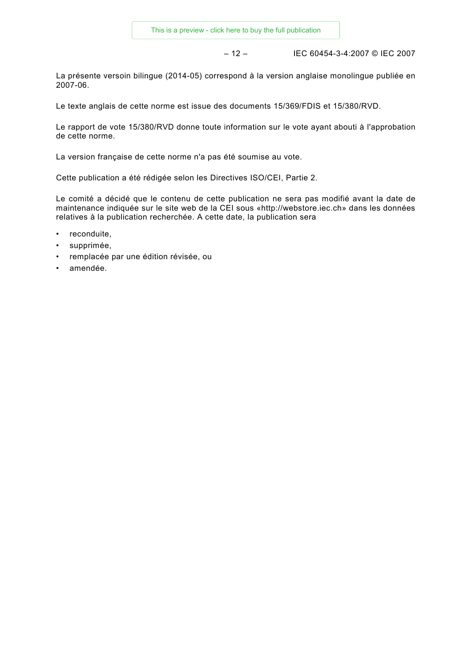– 12 – IEC 60454-3-4:2007 © IEC 2007

La présente versoin bilingue (2014-05) correspond à la version anglaise monolingue publiée en 2007-06.

Le texte anglais de cette norme est issue des documents 15/369/FDIS et 15/380/RVD.

Le rapport de vote 15/380/RVD donne toute information sur le vote ayant abouti à l'approbation de cette norme.

La version française de cette norme n'a pas été soumise au vote.

Cette publication a été rédigée selon les Directives ISO/CEI, Partie 2.

Le comité a décidé que le contenu de cette publication ne sera pas modifié avant la date de maintenance indiquée sur le site web de la CEI sous «http://webstore.iec.ch» dans les données relatives à la publication recherchée. A cette date, la publication sera

- reconduite,
- supprimée,
- remplacée par une édition révisée, ou
- amendée.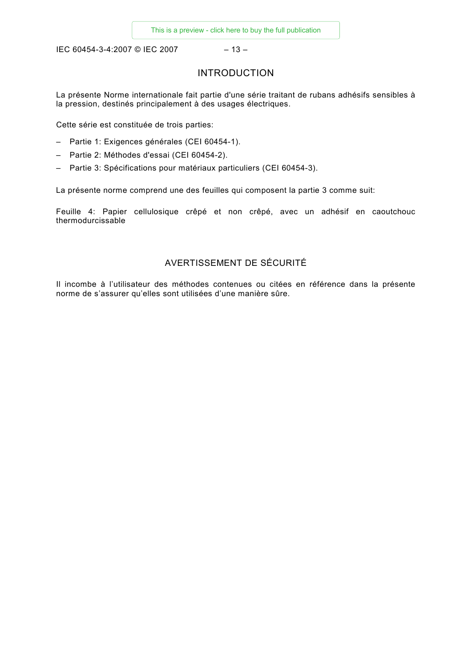IEC 60454-3-4:2007 © IEC 2007 - 13 -

## INTRODUCTION

La présente Norme internationale fait partie d'une série traitant de rubans adhésifs sensibles à la pression, destinés principalement à des usages électriques.

Cette série est constituée de trois parties:

- Partie 1: Exigences générales (CEI 60454-1).
- Partie 2: Méthodes d'essai (CEI 60454-2).
- Partie 3: Spécifications pour matériaux particuliers (CEI 60454-3).

La présente norme comprend une des feuilles qui composent la partie 3 comme suit:

Feuille 4: Papier cellulosique crêpé et non crêpé, avec un adhésif en caoutchouc thermodurcissable

# AVERTISSEMENT DE SÉCURITÉ

Il incombe à l'utilisateur des méthodes contenues ou citées en référence dans la présente norme de s'assurer qu'elles sont utilisées d'une manière sûre.